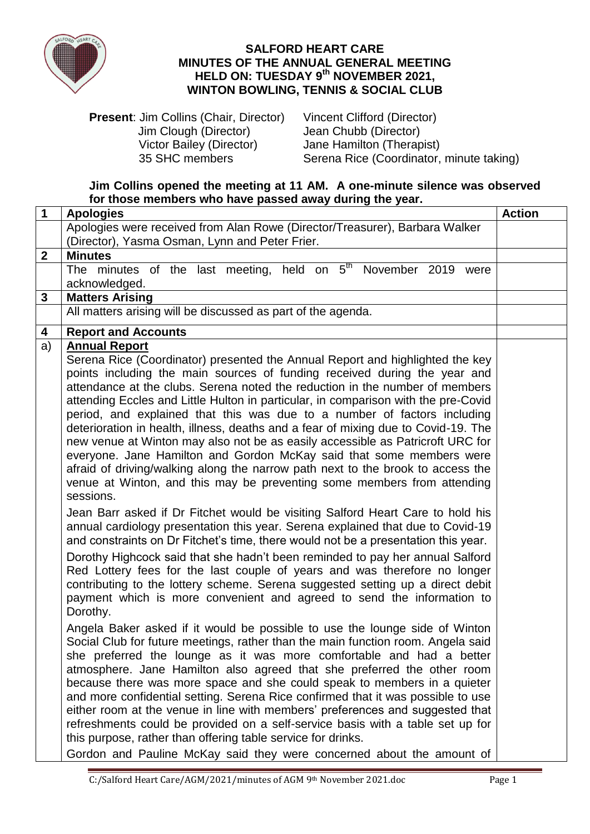

## **SALFORD HEART CARE MINUTES OF THE ANNUAL GENERAL MEETING HELD ON: TUESDAY 9 th NOVEMBER 2021, WINTON BOWLING, TENNIS & SOCIAL CLUB**

**Present: Jim Collins (Chair, Director)** Vincent Clifford (Director) Jim Clough (Director) Jean Chubb (Director)<br>Victor Bailey (Director) Jane Hamilton (Therap Victor Bailey (Director) Jane Hamilton (Therapist)<br>35 SHC members Serena Rice (Coordinator.

Serena Rice (Coordinator, minute taking)

**Jim Collins opened the meeting at 11 AM. A one-minute silence was observed for those members who have passed away during the year.**

| $\mathbf{1}$   | <b>Apologies</b>                                                                                                                                               | <b>Action</b> |
|----------------|----------------------------------------------------------------------------------------------------------------------------------------------------------------|---------------|
|                | Apologies were received from Alan Rowe (Director/Treasurer), Barbara Walker                                                                                    |               |
|                | (Director), Yasma Osman, Lynn and Peter Frier.                                                                                                                 |               |
| $\overline{2}$ | <b>Minutes</b>                                                                                                                                                 |               |
|                | The minutes of the last meeting, held on $5th$ November 2019<br>were                                                                                           |               |
|                | acknowledged.                                                                                                                                                  |               |
| $\mathbf{3}$   | <b>Matters Arising</b>                                                                                                                                         |               |
|                | All matters arising will be discussed as part of the agenda.                                                                                                   |               |
| 4              | <b>Report and Accounts</b>                                                                                                                                     |               |
| a)             | <b>Annual Report</b>                                                                                                                                           |               |
|                | Serena Rice (Coordinator) presented the Annual Report and highlighted the key                                                                                  |               |
|                | points including the main sources of funding received during the year and                                                                                      |               |
|                | attendance at the clubs. Serena noted the reduction in the number of members                                                                                   |               |
|                | attending Eccles and Little Hulton in particular, in comparison with the pre-Covid                                                                             |               |
|                | period, and explained that this was due to a number of factors including<br>deterioration in health, illness, deaths and a fear of mixing due to Covid-19. The |               |
|                | new venue at Winton may also not be as easily accessible as Patricroft URC for                                                                                 |               |
|                | everyone. Jane Hamilton and Gordon McKay said that some members were                                                                                           |               |
|                | afraid of driving/walking along the narrow path next to the brook to access the                                                                                |               |
|                | venue at Winton, and this may be preventing some members from attending                                                                                        |               |
|                | sessions.                                                                                                                                                      |               |
|                | Jean Barr asked if Dr Fitchet would be visiting Salford Heart Care to hold his                                                                                 |               |
|                | annual cardiology presentation this year. Serena explained that due to Covid-19                                                                                |               |
|                | and constraints on Dr Fitchet's time, there would not be a presentation this year.                                                                             |               |
|                | Dorothy Highcock said that she hadn't been reminded to pay her annual Salford                                                                                  |               |
|                | Red Lottery fees for the last couple of years and was therefore no longer                                                                                      |               |
|                | contributing to the lottery scheme. Serena suggested setting up a direct debit                                                                                 |               |
|                | payment which is more convenient and agreed to send the information to                                                                                         |               |
|                | Dorothy.                                                                                                                                                       |               |
|                | Angela Baker asked if it would be possible to use the lounge side of Winton                                                                                    |               |
|                | Social Club for future meetings, rather than the main function room. Angela said                                                                               |               |
|                | she preferred the lounge as it was more comfortable and had a better                                                                                           |               |
|                | atmosphere. Jane Hamilton also agreed that she preferred the other room                                                                                        |               |
|                | because there was more space and she could speak to members in a quieter                                                                                       |               |
|                | and more confidential setting. Serena Rice confirmed that it was possible to use                                                                               |               |
|                | either room at the venue in line with members' preferences and suggested that                                                                                  |               |
|                | refreshments could be provided on a self-service basis with a table set up for                                                                                 |               |
|                | this purpose, rather than offering table service for drinks.                                                                                                   |               |
|                | Gordon and Pauline McKay said they were concerned about the amount of                                                                                          |               |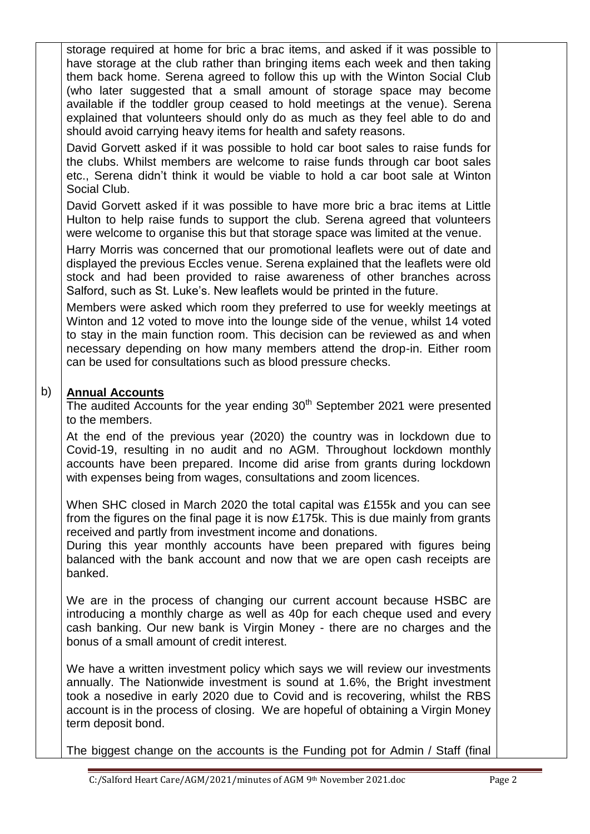storage required at home for bric a brac items, and asked if it was possible to have storage at the club rather than bringing items each week and then taking them back home. Serena agreed to follow this up with the Winton Social Club (who later suggested that a small amount of storage space may become available if the toddler group ceased to hold meetings at the venue). Serena explained that volunteers should only do as much as they feel able to do and should avoid carrying heavy items for health and safety reasons.

David Gorvett asked if it was possible to hold car boot sales to raise funds for the clubs. Whilst members are welcome to raise funds through car boot sales etc., Serena didn't think it would be viable to hold a car boot sale at Winton Social Club.

David Gorvett asked if it was possible to have more bric a brac items at Little Hulton to help raise funds to support the club. Serena agreed that volunteers were welcome to organise this but that storage space was limited at the venue.

Harry Morris was concerned that our promotional leaflets were out of date and displayed the previous Eccles venue. Serena explained that the leaflets were old stock and had been provided to raise awareness of other branches across Salford, such as St. Luke's. New leaflets would be printed in the future.

Members were asked which room they preferred to use for weekly meetings at Winton and 12 voted to move into the lounge side of the venue, whilst 14 voted to stay in the main function room. This decision can be reviewed as and when necessary depending on how many members attend the drop-in. Either room can be used for consultations such as blood pressure checks.

## b) **Annual Accounts**

The audited Accounts for the year ending  $30<sup>th</sup>$  September 2021 were presented to the members.

At the end of the previous year (2020) the country was in lockdown due to Covid-19, resulting in no audit and no AGM. Throughout lockdown monthly accounts have been prepared. Income did arise from grants during lockdown with expenses being from wages, consultations and zoom licences.

When SHC closed in March 2020 the total capital was £155k and you can see from the figures on the final page it is now £175k. This is due mainly from grants received and partly from investment income and donations.

During this year monthly accounts have been prepared with figures being balanced with the bank account and now that we are open cash receipts are banked.

We are in the process of changing our current account because HSBC are introducing a monthly charge as well as 40p for each cheque used and every cash banking. Our new bank is Virgin Money - there are no charges and the bonus of a small amount of credit interest.

We have a written investment policy which says we will review our investments annually. The Nationwide investment is sound at 1.6%, the Bright investment took a nosedive in early 2020 due to Covid and is recovering, whilst the RBS account is in the process of closing. We are hopeful of obtaining a Virgin Money term deposit bond.

The biggest change on the accounts is the Funding pot for Admin / Staff (final